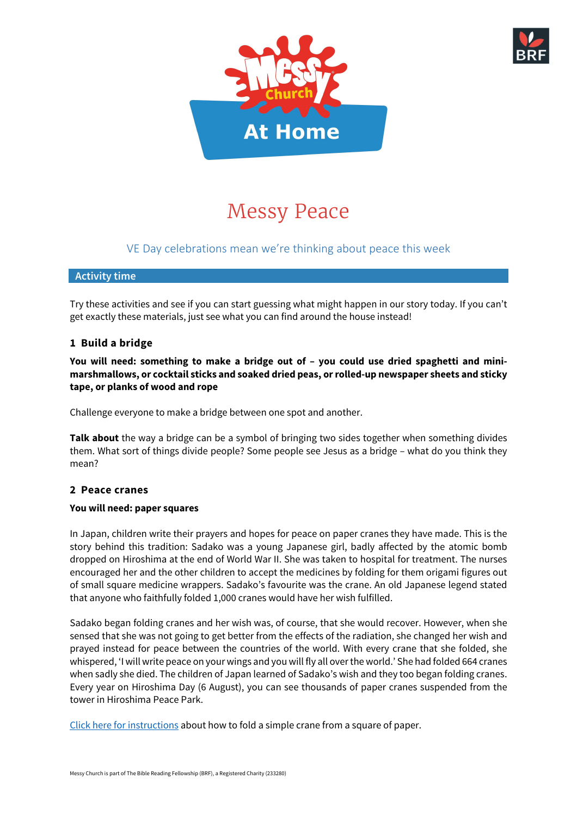



# Messy Peace

## VE Day celebrations mean we're thinking about peace this week

## **Activity time**

Try these activities and see if you can start guessing what might happen in our story today. If you can't get exactly these materials, just see what you can find around the house instead!

## **1 Build a bridge**

**You will need: something to make a bridge out of – you could use dried spaghetti and minimarshmallows, or cocktail sticks and soaked dried peas, or rolled-up newspaper sheets and sticky tape, or planks of wood and rope**

Challenge everyone to make a bridge between one spot and another.

**Talk about** the way a bridge can be a symbol of bringing two sides together when something divides them. What sort of things divide people? Some people see Jesus as a bridge – what do you think they mean?

## **2 Peace cranes**

#### **You will need: paper squares**

In Japan, children write their prayers and hopes for peace on paper cranes they have made. This is the story behind this tradition: Sadako was a young Japanese girl, badly affected by the atomic bomb dropped on Hiroshima at the end of World War II. She was taken to hospital for treatment. The nurses encouraged her and the other children to accept the medicines by folding for them origami figures out of small square medicine wrappers. Sadako's favourite was the crane. An old Japanese legend stated that anyone who faithfully folded 1,000 cranes would have her wish fulfilled.

Sadako began folding cranes and her wish was, of course, that she would recover. However, when she sensed that she was not going to get better from the effects of the radiation, she changed her wish and prayed instead for peace between the countries of the world. With every crane that she folded, she whispered, 'I will write peace on your wings and you will fly all over the world.' She had folded 664 cranes when sadly she died. The children of Japan learned of Sadako's wish and they too began folding cranes. Every year on Hiroshima Day (6 August), you can see thousands of paper cranes suspended from the tower in Hiroshima Peace Park.

[Click here for](http://www.origami-fun.com/origami-crane.html) instructions about how to fold a simple crane from a square of paper.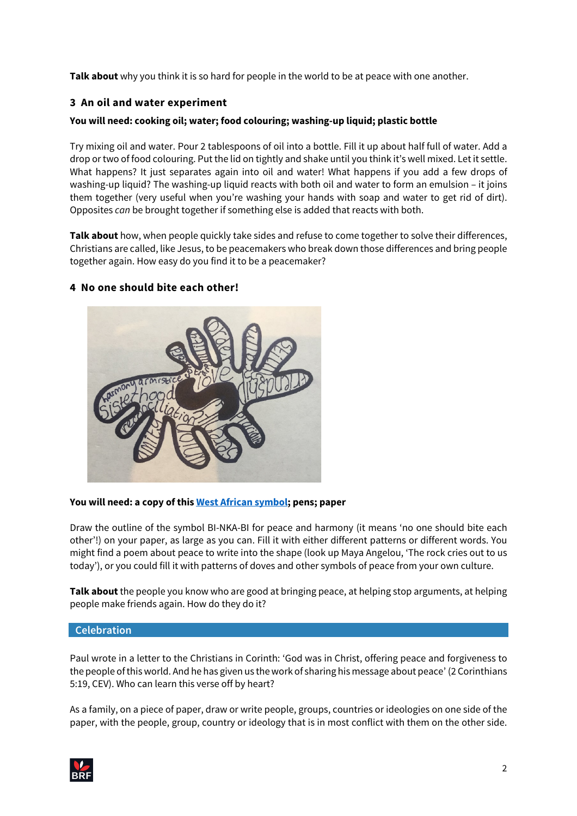**Talk about** why you think it is so hard for people in the world to be at peace with one another.

## **3 An oil and water experiment**

## **You will need: cooking oil; water; food colouring; washing-up liquid; plastic bottle**

Try mixing oil and water. Pour 2 tablespoons of oil into a bottle. Fill it up about half full of water. Add a drop or two of food colouring. Put the lid on tightly and shake until you think it's well mixed. Let it settle. What happens? It just separates again into oil and water! What happens if you add a few drops of washing-up liquid? The washing-up liquid reacts with both oil and water to form an emulsion – it joins them together (very useful when you're washing your hands with soap and water to get rid of dirt). Opposites *can* be brought together if something else is added that reacts with both.

**Talk about** how, when people quickly take sides and refuse to come together to solve their differences, Christians are called, like Jesus, to be peacemakers who break down those differences and bring people together again. How easy do you find it to be a peacemaker?

## **4 No one should bite each other!**



#### **You will need: a copy of this [West African symbol;](http://www.adinkra.org/htmls/adinkra/bink.htm) pens; paper**

Draw the outline of the symbol BI-NKA-BI for peace and harmony (it means 'no one should bite each other'!) on your paper, as large as you can. Fill it with either different patterns or different words. You might find a poem about peace to write into the shape (look up Maya Angelou, 'The rock cries out to us today'), or you could fill it with patterns of doves and other symbols of peace from your own culture.

**Talk about**the people you know who are good at bringing peace, at helping stop arguments, at helping people make friends again. How do they do it?

#### **Celebration**

Paul wrote in a letter to the Christians in Corinth: 'God was in Christ, offering peace and forgiveness to the people of this world. And he has given us the work of sharing his message about peace' (2 Corinthians 5:19, CEV). Who can learn this verse off by heart?

As a family, on a piece of paper, draw or write people, groups, countries or ideologies on one side of the paper, with the people, group, country or ideology that is in most conflict with them on the other side.

| $M_{BRF}$ | ∽ |
|-----------|---|
|           |   |